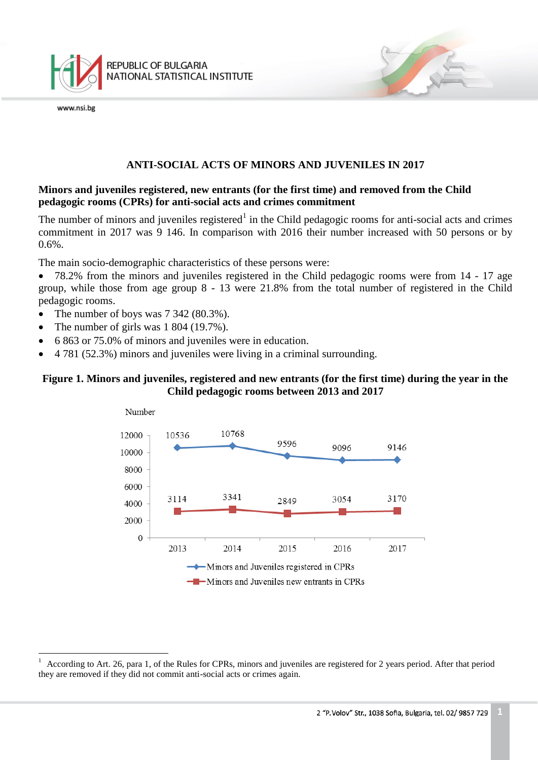

www.nsi.be

÷.

## **ANTI-SOCIAL ACTS OF MINORS AND JUVENILES IN 2017**

# **Minors and juveniles registered, new entrants (for the first time) and removed from the Child pedagogic rooms (CPRs) for anti-social acts and crimes commitment**

The number of minors and juveniles registered<sup>1</sup> in the Child pedagogic rooms for anti-social acts and crimes commitment in 2017 was 9 146. In comparison with 2016 their number increased with 50 persons or by 0.6%.

The main socio-demographic characteristics of these persons were:

 78.2% from the minors and juveniles registered in the Child pedagogic rooms were from 14 - 17 age group, while those from age group 8 - 13 were 21.8% from the total number of registered in the Child pedagogic rooms.

- The number of boys was  $7\,342\,(80.3\%)$ .
- The number of girls was 1 804 (19.7%).
- 6 863 or 75.0% of minors and juveniles were in education.
- 4 781 (52.3%) minors and juveniles were living in a criminal surrounding.

# **Figure 1. Minors and juveniles, registered and new entrants (for the first time) during the year in the Child pedagogic rooms between 2013 and 2017**



<sup>1</sup> According to Art. 26, para 1, of the Rules for CPRs, minors and juveniles are registered for 2 years period. After that period they are removed if they did not commit anti-social acts or crimes again.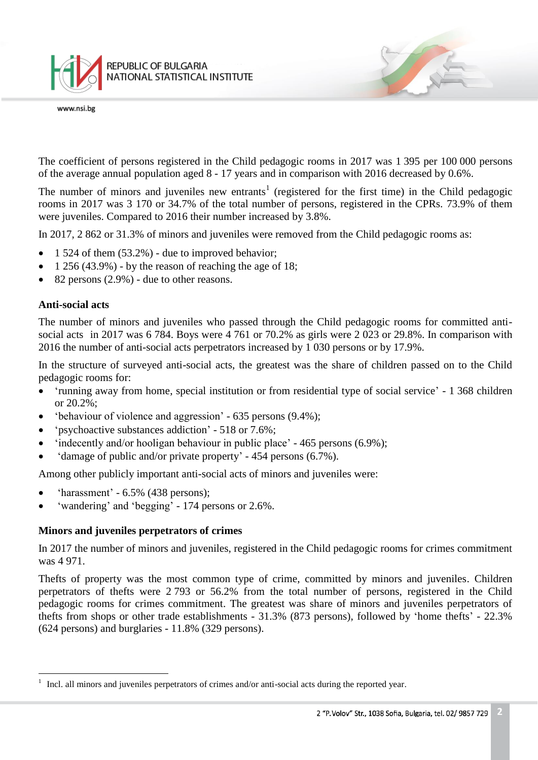

The coefficient of persons registered in the Child pedagogic rooms in 2017 was 1 395 per 100 000 persons of the average annual population aged 8 - 17 years and in comparison with 2016 decreased by 0.6%.

The number of minors and juveniles new entrants<sup>1</sup> (registered for the first time) in the Child pedagogic rooms in 2017 was 3 170 or 34.7% of the total number of persons, registered in the CPRs. 73.9% of them were juveniles. Compared to 2016 their number increased by 3.8%.

In 2017, 2 862 or 31.3% of minors and juveniles were removed from the Child pedagogic rooms as:

- $\bullet$  1 524 of them (53.2%) due to improved behavior;
- $\bullet$  1 256 (43.9%) by the reason of reaching the age of 18;
- $\bullet$  82 persons (2.9%) due to other reasons.

## **Anti-social acts**

÷.

The number of minors and juveniles who passed through the Child pedagogic rooms for committed antisocial acts in 2017 was 6 784. Boys were 4 761 or 70.2% as girls were 2 023 or 29.8%. In comparison with 2016 the number of anti-social acts perpetrators increased by 1 030 persons or by 17.9%.

In the structure of surveyed anti-social acts, the greatest was the share of children passed on to the Child pedagogic rooms for:

- 'running away from home, special institution or from residential type of social service' 1 368 children or 20.2%;
- 'behaviour of violence and aggression' 635 persons (9.4%);
- 'psychoactive substances addiction' 518 or 7.6%;
- $\bullet$  'indecently and/or hooligan behaviour in public place' 465 persons (6.9%);
- 'damage of public and/or private property' 454 persons (6.7%).

Among other publicly important anti-social acts of minors and juveniles were:

- 'harassment' 6.5% (438 persons);
- 'wandering' and 'begging' 174 persons or 2.6%.

## **Minors and juveniles perpetrators of crimes**

In 2017 the number of minors and juveniles, registered in the Child pedagogic rooms for crimes commitment was 4 971.

Thefts of property was the most common type of crime, committed by minors and juveniles. Children perpetrators of thefts were 2 793 or 56.2% from the total number of persons, registered in the Child pedagogic rooms for crimes commitment. The greatest was share of minors and juveniles perpetrators of thefts from shops or other trade establishments - 31.3% (873 persons), followed by 'home thefts' - 22.3% (624 persons) and burglaries - 11.8% (329 persons).

<sup>&</sup>lt;sup>1</sup> Incl. all minors and juveniles perpetrators of crimes and/or anti-social acts during the reported year.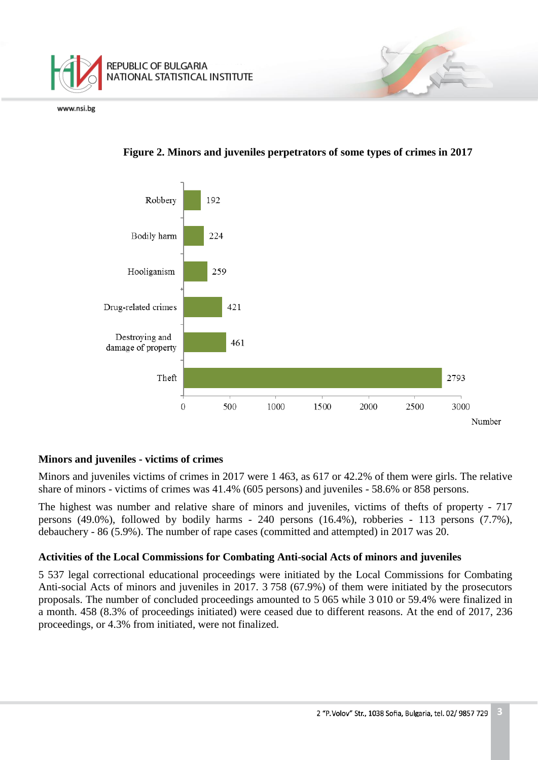





# **Minors and juveniles - victims of crimes**

Minors and juveniles victims of crimes in 2017 were 1 463, as 617 or 42.2% of them were girls. The relative share of minors - victims of crimes was 41.4% (605 persons) and juveniles - 58.6% or 858 persons.

The highest was number and relative share of minors and juveniles, victims of thefts of property - 717 persons (49.0%), followed by bodily harms - 240 persons (16.4%), robberies - 113 persons (7.7%), debauchery - 86 (5.9%). The number of rape cases (committed and attempted) in 2017 was 20.

# **Activities of the Local Commissions for Combating Anti-social Acts of minors and juveniles**

5 537 legal correctional educational proceedings were initiated by the Local Commissions for Combating Anti-social Acts of minors and juveniles in 2017. 3 758 (67.9%) of them were initiated by the prosecutors proposals. The number of concluded proceedings amounted to 5 065 while 3 010 or 59.4% were finalized in a month. 458 (8.3% of proceedings initiated) were ceased due to different reasons. At the end of 2017, 236 proceedings, or 4.3% from initiated, were not finalized.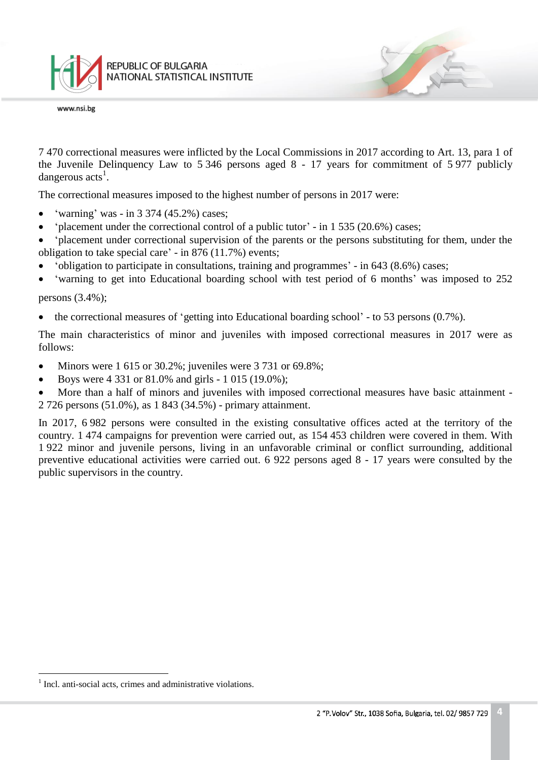

7 470 correctional measures were inflicted by the Local Commissions in 2017 according to Art. 13, para 1 of the Juvenile Delinquency Law to 5 346 persons aged 8 - 17 years for commitment of 5 977 publicly dangerous  $\arctan s^1$ .

The correctional measures imposed to the highest number of persons in 2017 were:

- 'warning' was in 3 374 (45.2%) cases;
- $\bullet$  'placement under the correctional control of a public tutor' in 1 535 (20.6%) cases;
- 'placement under correctional supervision of the parents or the persons substituting for them, under the obligation to take special care' - in 876 (11.7%) events;
- 'obligation to participate in consultations, training and programmes' in 643 (8.6%) cases;
- 'warning to get into Educational boarding school with test period of 6 months' was imposed to 252

## persons (3.4%);

• the correctional measures of 'getting into Educational boarding school' - to 53 persons (0.7%).

The main characteristics of minor and juveniles with imposed correctional measures in 2017 were as follows:

- Minors were  $1\,615$  or  $30.2\%$ ; juveniles were  $3\,731$  or  $69.8\%$ ;
- Boys were  $4\,331$  or  $81.0\%$  and girls 1 015 (19.0%);
- More than a half of minors and juveniles with imposed correctional measures have basic attainment -2 726 persons (51.0%), as 1 843 (34.5%) - primary attainment.

In 2017, 6 982 persons were consulted in the existing consultative offices acted at the territory of the country. 1 474 campaigns for prevention were carried out, as 154 453 children were covered in them. With 1 922 minor and juvenile persons, living in an unfavorable criminal or conflict surrounding, additional preventive educational activities were carried out. 6 922 persons aged 8 - 17 years were consulted by the public supervisors in the country.

÷.

<sup>&</sup>lt;sup>1</sup> Incl. anti-social acts, crimes and administrative violations.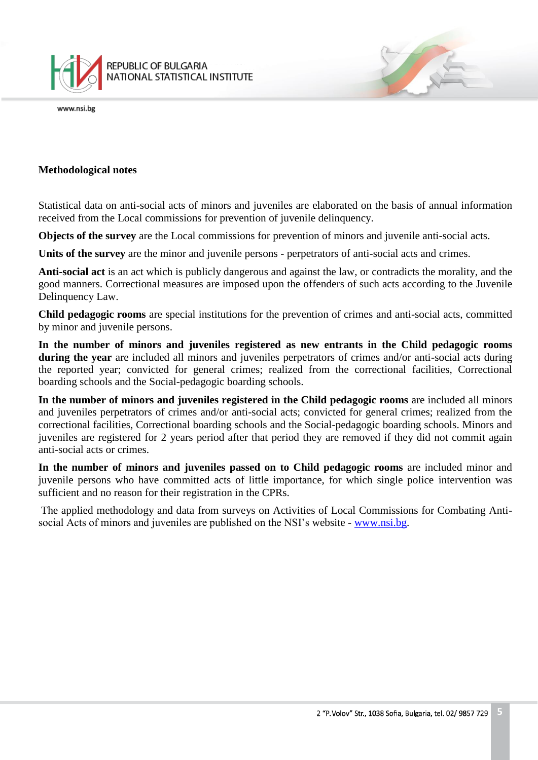

## **Methodological notes**

Statistical data on anti-social acts of minors and juveniles are elaborated on the basis of annual information received from the Local commissions for prevention of juvenile delinquency.

**Objects of the survey** are the Local commissions for prevention of minors and juvenile anti-social acts.

**Units of the survey** are the minor and juvenile persons - perpetrators of anti-social acts and crimes.

**Anti-social act** is an act which is publicly dangerous and against the law, or contradicts the morality, and the good manners. Correctional measures are imposed upon the offenders of such acts according to the Juvenile Delinquency Law.

**Child pedagogic rooms** are special institutions for the prevention of crimes and anti-social acts, committed by minor and juvenile persons.

**In the number of minors and juveniles registered as new entrants in the Child pedagogic rooms during the year** are included all minors and juveniles perpetrators of crimes and/or anti-social acts during the reported year; convicted for general crimes; realized from the correctional facilities, Correctional boarding schools and the Social-pedagogic boarding schools.

**In the number of minors and juveniles registered in the Child pedagogic rooms** are included all minors and juveniles perpetrators of crimes and/or anti-social acts; convicted for general crimes; realized from the correctional facilities, Correctional boarding schools and the Social-pedagogic boarding schools. Minors and juveniles are registered for 2 years period after that period they are removed if they did not commit again anti-social acts or crimes.

**In the number of minors and juveniles passed on to Child pedagogic rooms** are included minor and juvenile persons who have committed acts of little importance, for which single police intervention was sufficient and no reason for their registration in the CPRs.

The applied methodology and data from surveys on Activities of Local Commissions for Combating Antisocial Acts of minors and juveniles are published on the NSI's website - [www.nsi.bg.](http://www.nsi.bg/)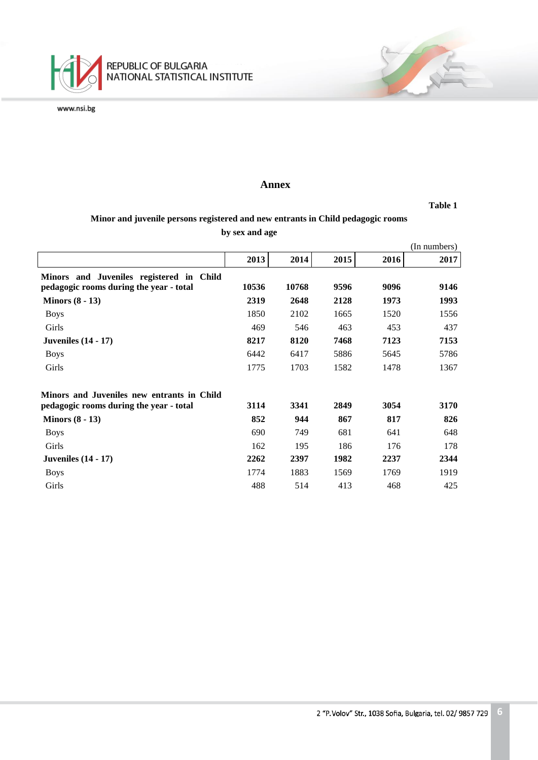

### **Annex**

**Table 1**

## **Minor and juvenile persons registered and new entrants in Child pedagogic rooms by sex and age**

|                                            |       |       |      |      | (In numbers) |
|--------------------------------------------|-------|-------|------|------|--------------|
|                                            | 2013  | 2014  | 2015 | 2016 | 2017         |
| Minors and Juveniles registered in Child   |       |       |      |      |              |
| pedagogic rooms during the year - total    | 10536 | 10768 | 9596 | 9096 | 9146         |
| Minors $(8 - 13)$                          | 2319  | 2648  | 2128 | 1973 | 1993         |
| <b>Boys</b>                                | 1850  | 2102  | 1665 | 1520 | 1556         |
| Girls                                      | 469   | 546   | 463  | 453  | 437          |
| <b>Juveniles</b> (14 - 17)                 | 8217  | 8120  | 7468 | 7123 | 7153         |
| <b>Boys</b>                                | 6442  | 6417  | 5886 | 5645 | 5786         |
| Girls                                      | 1775  | 1703  | 1582 | 1478 | 1367         |
| Minors and Juveniles new entrants in Child |       |       |      |      |              |
| pedagogic rooms during the year - total    | 3114  | 3341  | 2849 | 3054 | 3170         |
| Minors $(8 - 13)$                          | 852   | 944   | 867  | 817  | 826          |
| <b>Boys</b>                                | 690   | 749   | 681  | 641  | 648          |
| Girls                                      | 162   | 195   | 186  | 176  | 178          |
| <b>Juveniles</b> (14 - 17)                 | 2262  | 2397  | 1982 | 2237 | 2344         |
| <b>Boys</b>                                | 1774  | 1883  | 1569 | 1769 | 1919         |
| Girls                                      | 488   | 514   | 413  | 468  | 425          |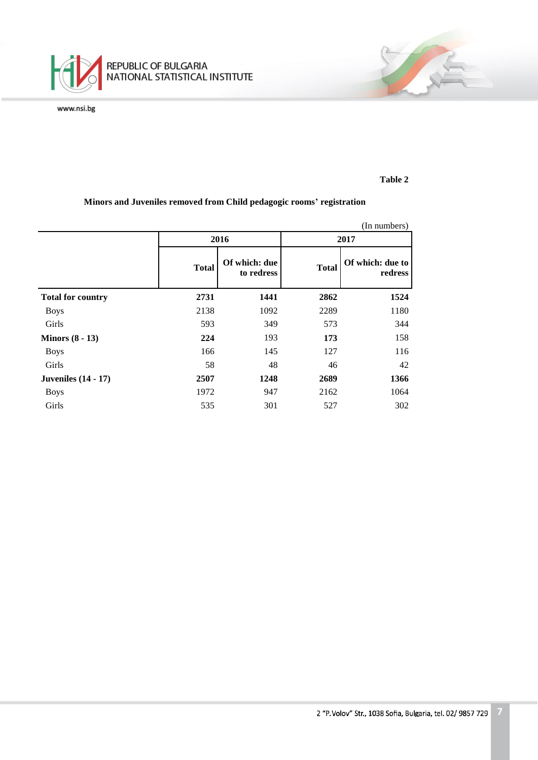

## **Table 2**

不

## **Minors and Juveniles removed from Child pedagogic rooms' registration**

|                            | (In numbers) |                             |              |                             |  |  |  |  |
|----------------------------|--------------|-----------------------------|--------------|-----------------------------|--|--|--|--|
|                            |              | 2016                        | 2017         |                             |  |  |  |  |
|                            | <b>Total</b> | Of which: due<br>to redress | <b>Total</b> | Of which: due to<br>redress |  |  |  |  |
| <b>Total for country</b>   | 2731         | 1441                        | 2862         | 1524                        |  |  |  |  |
| <b>Boys</b>                | 2138         | 1092                        | 2289         | 1180                        |  |  |  |  |
| Girls                      | 593          | 349                         | 573          | 344                         |  |  |  |  |
| Minors $(8 - 13)$          | 224          | 193                         | 173          | 158                         |  |  |  |  |
| <b>Boys</b>                | 166          | 145                         | 127          | 116                         |  |  |  |  |
| Girls                      | 58           | 48                          | 46           | 42                          |  |  |  |  |
| <b>Juveniles</b> (14 - 17) | 2507         | 1248                        | 2689         | 1366                        |  |  |  |  |
| <b>Boys</b>                | 1972         | 947                         | 2162         | 1064                        |  |  |  |  |
| Girls                      | 535          | 301                         | 527          | 302                         |  |  |  |  |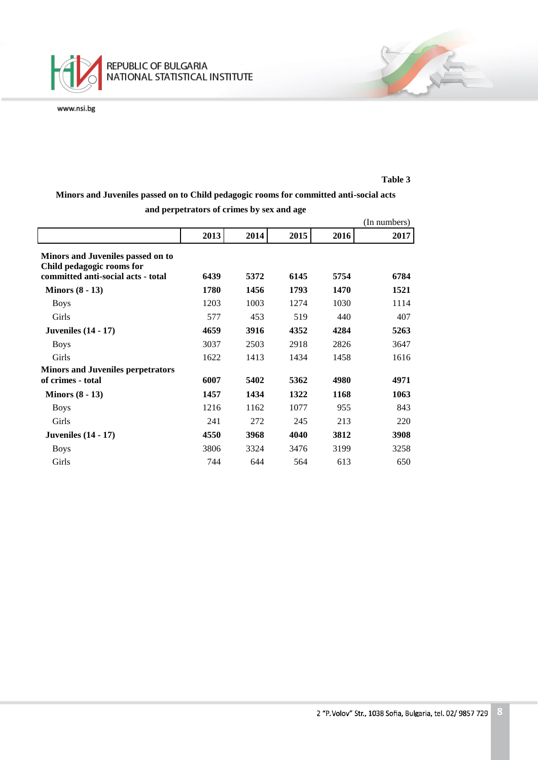

#### **Table 3**

安全

# **Minors and Juveniles passed on to Child pedagogic rooms for committed anti-social acts and perpetrators of crimes by sex and age**

|                                                                |      |      |      |      | (In numbers) |
|----------------------------------------------------------------|------|------|------|------|--------------|
|                                                                | 2013 | 2014 | 2015 | 2016 | 2017         |
| Minors and Juveniles passed on to<br>Child pedagogic rooms for |      |      |      |      |              |
| committed anti-social acts - total                             | 6439 | 5372 | 6145 | 5754 | 6784         |
| Minors $(8 - 13)$                                              | 1780 | 1456 | 1793 | 1470 | 1521         |
| <b>Boys</b>                                                    | 1203 | 1003 | 1274 | 1030 | 1114         |
| Girls                                                          | 577  | 453  | 519  | 440  | 407          |
| <b>Juveniles</b> (14 - 17)                                     | 4659 | 3916 | 4352 | 4284 | 5263         |
| <b>Boys</b>                                                    | 3037 | 2503 | 2918 | 2826 | 3647         |
| Girls                                                          | 1622 | 1413 | 1434 | 1458 | 1616         |
| <b>Minors and Juveniles perpetrators</b>                       |      |      |      |      |              |
| of crimes - total                                              | 6007 | 5402 | 5362 | 4980 | 4971         |
| Minors $(8 - 13)$                                              | 1457 | 1434 | 1322 | 1168 | 1063         |
| <b>Boys</b>                                                    | 1216 | 1162 | 1077 | 955  | 843          |
| Girls                                                          | 241  | 272  | 245  | 213  | 220          |
| Juveniles $(14 - 17)$                                          | 4550 | 3968 | 4040 | 3812 | 3908         |
| <b>Boys</b>                                                    | 3806 | 3324 | 3476 | 3199 | 3258         |
| Girls                                                          | 744  | 644  | 564  | 613  | 650          |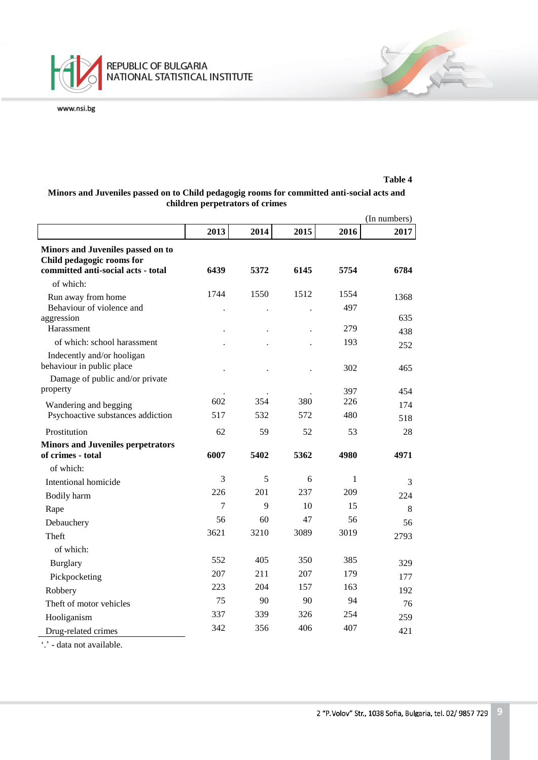

#### **Table 4**

不定

## **Minors and Juveniles passed on to Child pedagogig rooms for committed anti-social acts and children perpetrators of crimes**

|                                                                                                      |      |      |      |             | (In numbers) |
|------------------------------------------------------------------------------------------------------|------|------|------|-------------|--------------|
|                                                                                                      | 2013 | 2014 | 2015 | 2016        | 2017         |
| Minors and Juveniles passed on to<br>Child pedagogic rooms for<br>committed anti-social acts - total | 6439 | 5372 | 6145 | 5754        | 6784         |
| of which:                                                                                            |      |      |      |             |              |
| Run away from home<br>Behaviour of violence and                                                      | 1744 | 1550 | 1512 | 1554<br>497 | 1368         |
| aggression<br>Harassment                                                                             |      |      |      | 279         | 635          |
| of which: school harassment                                                                          |      |      |      | 193         | 438<br>252   |
| Indecently and/or hooligan<br>behaviour in public place                                              |      |      |      | 302         | 465          |
| Damage of public and/or private<br>property                                                          |      |      |      | 397         | 454          |
| Wandering and begging                                                                                | 602  | 354  | 380  | 226         | 174          |
| Psychoactive substances addiction                                                                    | 517  | 532  | 572  | 480         | 518          |
| Prostitution                                                                                         | 62   | 59   | 52   | 53          | 28           |
| <b>Minors and Juveniles perpetrators</b>                                                             |      |      |      |             |              |
| of crimes - total                                                                                    | 6007 | 5402 | 5362 | 4980        | 4971         |
| of which:                                                                                            |      |      |      |             |              |
| Intentional homicide                                                                                 | 3    | 5    | 6    | 1           | 3            |
| Bodily harm                                                                                          | 226  | 201  | 237  | 209         | 224          |
| Rape                                                                                                 | 7    | 9    | 10   | 15          | 8            |
| Debauchery                                                                                           | 56   | 60   | 47   | 56          | 56           |
| Theft                                                                                                | 3621 | 3210 | 3089 | 3019        | 2793         |
| of which:                                                                                            |      |      |      |             |              |
| Burglary                                                                                             | 552  | 405  | 350  | 385         | 329          |
| Pickpocketing                                                                                        | 207  | 211  | 207  | 179         | 177          |
| Robbery                                                                                              | 223  | 204  | 157  | 163         | 192          |
| Theft of motor vehicles                                                                              | 75   | 90   | 90   | 94          | 76           |
| Hooliganism                                                                                          | 337  | 339  | 326  | 254         | 259          |
| Drug-related crimes                                                                                  | 342  | 356  | 406  | 407         | 421          |

'.' - data not available.